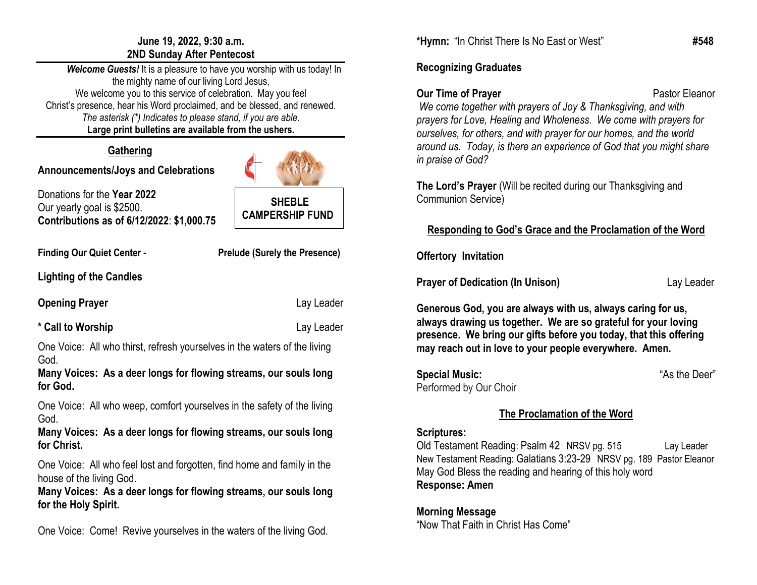#### **June 19, 2022, 9:30 a.m. 2ND Sunday After Pentecost**

 *Welcome Guests!* It is a pleasure to have you worship with us today! In the mighty name of our living Lord Jesus, We welcome you to this service of celebration. May you feel Christ's presence, hear his Word proclaimed, and be blessed, and renewed. *The asterisk (\*) Indicates to please stand, if you are able.* **Large print bulletins are available from the ushers.**

# **Gathering**

# **Announcements/Joys and Celebrations**

Donations for the **Year 2022**  Our yearly goal is \$2500. **Contributions as of 6/12/2022**: **\$1,000.75**

**Finding Our Quiet Center - Prelude (Surely the Presence)**

 **SHEBLE CAMPERSHIP FUND**

**Lighting of the Candles** 

**Opening Prayer Contract Contract Contract Contract Contract Contract Contract Contract Contract Contract Contract Contract Contract Contract Contract Contract Contract Contract Contract Contract Contract Contract Contract** 

# **\* Call to Worship** Lay Leader

One Voice: All who thirst, refresh yourselves in the waters of the living God.

**Many Voices: As a deer longs for flowing streams, our souls long for God.**

One Voice: All who weep, comfort yourselves in the safety of the living God.

**Many Voices: As a deer longs for flowing streams, our souls long for Christ.**

One Voice: All who feel lost and forgotten, find home and family in the house of the living God.

**Many Voices: As a deer longs for flowing streams, our souls long for the Holy Spirit.**

One Voice: Come! Revive yourselves in the waters of the living God.

**\*Hymn:** "In Christ There Is No East or West" **#548**

# **Recognizing Graduates**

**Our Time of Prayer <b>Pastor** Pastor Eleanor *We come together with prayers of Joy & Thanksgiving, and with prayers for Love, Healing and Wholeness. We come with prayers for ourselves, for others, and with prayer for our homes, and the world around us. Today, is there an experience of God that you might share in praise of God?*

**The Lord's Prayer** (Will be recited during our Thanksgiving and Communion Service)

# **Responding to God's Grace and the Proclamation of the Word**

**Offertory Invitation**

**Prayer of Dedication (In Unison) Lay Leader Lay Leader** 

**Generous God, you are always with us, always caring for us, always drawing us together. We are so grateful for your loving presence. We bring our gifts before you today, that this offering may reach out in love to your people everywhere. Amen.**

**Special Music:** "As the Deer" Performed by Our Choir

# **The Proclamation of the Word**

### **Scriptures:**

Old Testament Reading: Psalm 42 NRSV pg. 515 Lay Leader New Testament Reading: Galatians 3:23-29 NRSV pg. 189 Pastor Eleanor May God Bless the reading and hearing of this holy word **Response: Amen**

**Morning Message** "Now That Faith in Christ Has Come"